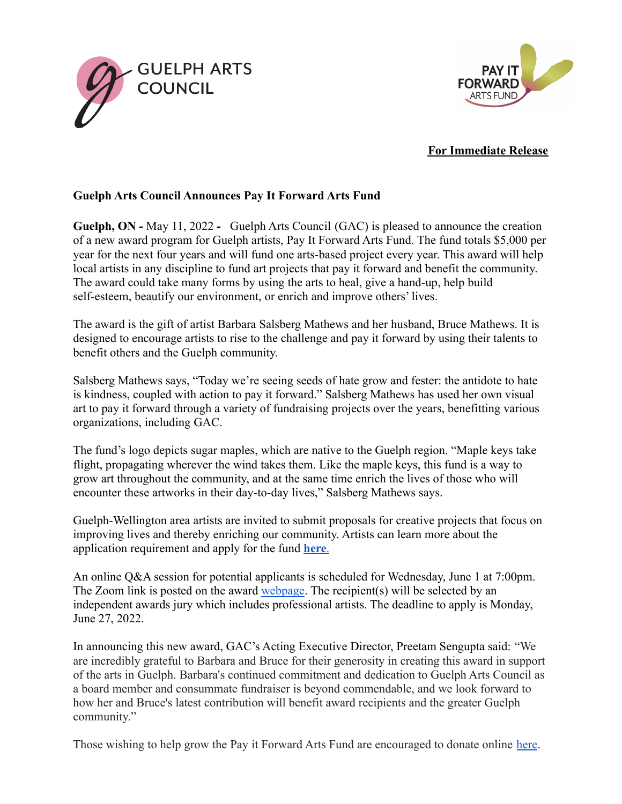



## **For Immediate Release**

## **Guelph Arts Council Announces Pay It Forward Arts Fund**

**Guelph, ON -** May 11, 2022 **-** Guelph Arts Council (GAC) is pleased to announce the creation of a new award program for Guelph artists, Pay It Forward Arts Fund. The fund totals \$5,000 per year for the next four years and will fund one arts-based project every year. This award will help local artists in any discipline to fund art projects that pay it forward and benefit the community. The award could take many forms by using the arts to heal, give a hand-up, help build self-esteem, beautify our environment, or enrich and improve others' lives.

The award is the gift of artist Barbara Salsberg Mathews and her husband, Bruce Mathews. It is designed to encourage artists to rise to the challenge and pay it forward by using their talents to benefit others and the Guelph community.

Salsberg Mathews says, "Today we're seeing seeds of hate grow and fester: the antidote to hate is kindness, coupled with action to pay it forward." Salsberg Mathews has used her own visual art to pay it forward through a variety of fundraising projects over the years, benefitting various organizations, including GAC.

The fund's logo depicts sugar maples, which are native to the Guelph region. "Maple keys take flight, propagating wherever the wind takes them. Like the maple keys, this fund is a way to grow art throughout the community, and at the same time enrich the lives of those who will encounter these artworks in their day-to-day lives," Salsberg Mathews says.

Guelph-Wellington area artists are invited to submit proposals for creative projects that focus on improving lives and thereby enriching our community. Artists can learn more about the application requirement and apply for the fund **[here](https://guelpharts.ca/pay-it-forward-fund/)**.

An online Q&A session for potential applicants is scheduled for Wednesday, June 1 at 7:00pm. The Zoom link is posted on the award [webpage.](https://guelpharts.ca/pay-it-forward-fund/) The recipient(s) will be selected by an independent awards jury which includes professional artists. The deadline to apply is Monday, June 27, 2022.

In announcing this new award, GAC's Acting Executive Director, Preetam Sengupta said: "We are incredibly grateful to Barbara and Bruce for their generosity in creating this award in support of the arts in Guelph. Barbara's continued commitment and dedication to Guelph Arts Council as a board member and consummate fundraiser is beyond commendable, and we look forward to how her and Bruce's latest contribution will benefit award recipients and the greater Guelph community."

Those wishing to help grow the Pay it Forward Arts Fund are encouraged to donate online [here](https://www.canadahelps.org/en/dn/72130).